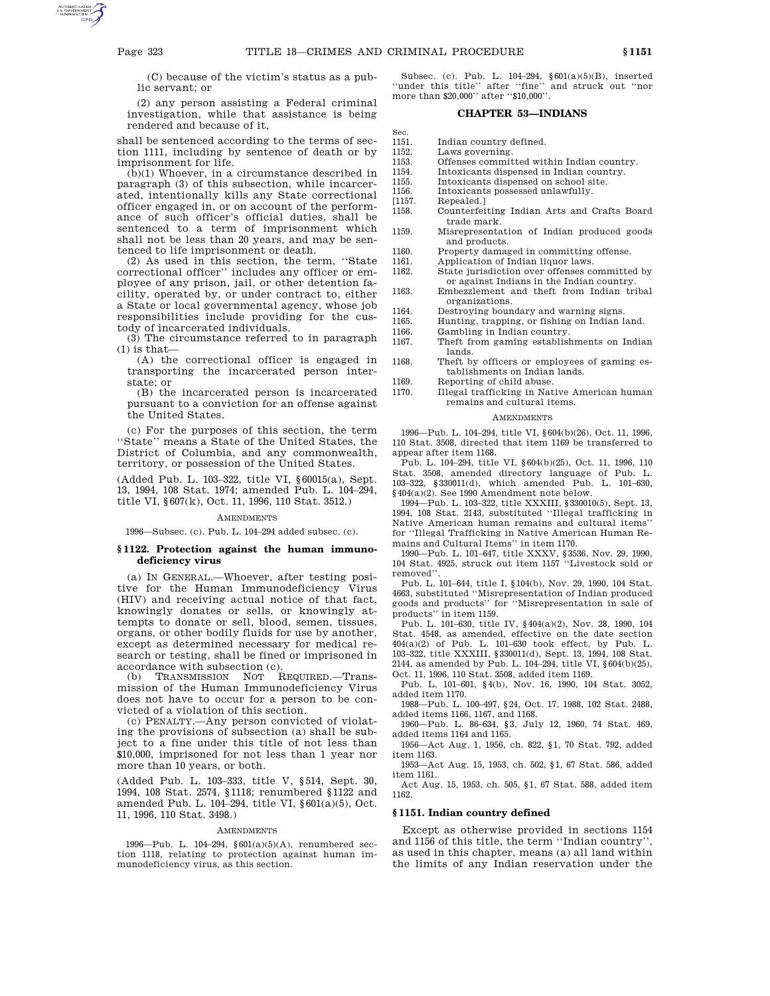(C) because of the victim's status as a public servant; or

(2) any person assisting a Federal criminal investigation, while that assistance is being rendered and because of it,

shall be sentenced according to the terms of section 1111, including by sentence of death or by imprisonment for life.

 $(\bar{\mathbf{b}})(1)$  Whoever, in a circumstance described in paragraph (3) of this subsection, while incarcerated, intentionally kills any State correctional officer engaged in, or on account of the performance of such officer's official duties, shall be sentenced to a term of imprisonment which shall not be less than 20 years, and may be sentenced to life imprisonment or death.

(2) As used in this section, the term, ''State correctional officer'' includes any officer or employee of any prison, jail, or other detention facility, operated by, or under contract to, either a State or local governmental agency, whose job responsibilities include providing for the custody of incarcerated individuals.

(3) The circumstance referred to in paragraph  $(1)$  is that-

(A) the correctional officer is engaged in transporting the incarcerated person interstate; or

(B) the incarcerated person is incarcerated pursuant to a conviction for an offense against the United States.

(c) For the purposes of this section, the term ''State'' means a State of the United States, the District of Columbia, and any commonwealth, territory, or possession of the United States.

(Added Pub. L. 103–322, title VI, §60015(a), Sept. 13, 1994, 108 Stat. 1974; amended Pub. L. 104–294, title VI, §607(k), Oct. 11, 1996, 110 Stat. 3512.)

## **AMENDMENTS**

1996—Subsec. (c). Pub. L. 104–294 added subsec. (c).

# **§ 1122. Protection against the human immunodeficiency virus**

(a) IN GENERAL.—Whoever, after testing positive for the Human Immunodeficiency Virus (HIV) and receiving actual notice of that fact, knowingly donates or sells, or knowingly attempts to donate or sell, blood, semen, tissues, organs, or other bodily fluids for use by another, except as determined necessary for medical research or testing, shall be fined or imprisoned in accordance with subsection (c).

(b) TRANSMISSION NOT REQUIRED.—Transmission of the Human Immunodeficiency Virus does not have to occur for a person to be convicted of a violation of this section.

(c) PENALTY.—Any person convicted of violating the provisions of subsection (a) shall be subject to a fine under this title of not less than \$10,000, imprisoned for not less than 1 year nor more than 10 years, or both.

(Added Pub. L. 103–333, title V, §514, Sept. 30, 1994, 108 Stat. 2574, §1118; renumbered §1122 and amended Pub. L. 104–294, title VI, §601(a)(5), Oct. 11, 1996, 110 Stat. 3498.)

#### **AMENDMENTS**

1996—Pub. L. 104–294, §601(a)(5)(A), renumbered section 1118, relating to protection against human immunodeficiency virus, as this section.

Subsec. (c). Pub. L. 104–294, §601(a)(5)(B), inserted ''under this title'' after ''fine'' and struck out ''nor more than \$20,000'' after ''\$10,000''.

### **CHAPTER 53—INDIANS**

Sec.

- 1151. Indian country defined.<br>1152. Laws governing. Laws governing.
	-
- 1153. Offenses committed within Indian country.<br>1154. Intoxicants dispensed in Indian country. 1154. Intoxicants dispensed in Indian country.
- 1155. Intoxicants dispensed on school site.<br>1156. Intoxicants possessed unlawfully.
- 1156. Intoxicants possessed unlawfully.<br>[1157. Repealed.]
- Repealed.]
- 1158. Counterfeiting Indian Arts and Crafts Board trade mark.
- 1159. Misrepresentation of Indian produced goods and products.
- 1160. Property damaged in committing offense.<br>1161. Application of Indian liquor laws.

- 1161. Application of Indian liquor laws.<br>1162. State jurisdiction over offenses c State jurisdiction over offenses committed by or against Indians in the Indian country.
- 1163. Embezzlement and theft from Indian tribal organizations.
- 1164. Destroying boundary and warning signs.
- 1165. Hunting, trapping, or fishing on Indian land.<br>1166. Gambling in Indian country.
	- Gambling in Indian country.
- 1167. Theft from gaming establishments on Indian
- lands. 1168. Theft by officers or employees of gaming es
	- tablishments on Indian lands.
- 1169. Reporting of child abuse.<br>1170. Illegal trafficking in Nat
	- 1170. Illegal trafficking in Native American human remains and cultural items.

#### AMENDMENTS

1996—Pub. L. 104–294, title VI, §604(b)(26), Oct. 11, 1996, 110 Stat. 3508, directed that item 1169 be transferred to appear after item 1168.

Pub. L. 104–294, title VI, §604(b)(25), Oct. 11, 1996, 110 Stat. 3508, amended directory language of Pub. L. 103–322, §330011(d), which amended Pub. L. 101–630, §404(a)(2). See 1990 Amendment note below.

1994—Pub. L. 103–322, title XXXIII, §330010(5), Sept. 13, 1994, 108 Stat. 2143, substituted ''Illegal trafficking in Native American human remains and cultural items'' for ''Illegal Trafficking in Native American Human Remains and Cultural Items'' in item 1170.

1990—Pub. L. 101–647, title XXXV, §3536, Nov. 29, 1990, 104 Stat. 4925, struck out item 1157 ''Livestock sold or removed''.

Pub. L. 101–644, title I, §104(b), Nov. 29, 1990, 104 Stat. 4663, substituted ''Misrepresentation of Indian produced goods and products'' for ''Misrepresentation in sale of products'' in item 1159.

Pub. L. 101–630, title IV, §404(a)(2), Nov. 28, 1990, 104 Stat. 4548, as amended, effective on the date section 404(a)(2) of Pub. L. 101–630 took effect, by Pub. L. 103–322, title XXXIII, §330011(d), Sept. 13, 1994, 108 Stat. 2144, as amended by Pub. L. 104–294, title VI, §604(b)(25), Oct. 11, 1996, 110 Stat. 3508, added item 1169.

Pub. L. 101–601, §4(b), Nov. 16, 1990, 104 Stat. 3052, added item 1170.

1988—Pub. L. 100–497, §24, Oct. 17, 1988, 102 Stat. 2488, added items 1166, 1167, and 1168.

1960—Pub. L. 86–634, §3, July 12, 1960, 74 Stat. 469, added items 1164 and 1165.

1956—Act Aug. 1, 1956, ch. 822, §1, 70 Stat. 792, added item 1163. 1953—Act Aug. 15, 1953, ch. 502, §1, 67 Stat. 586, added

item 1161. Act Aug. 15, 1953, ch. 505, §1, 67 Stat. 588, added item

1162.

## **§ 1151. Indian country defined**

Except as otherwise provided in sections 1154 and 1156 of this title, the term "Indian country" as used in this chapter, means (a) all land within the limits of any Indian reservation under the